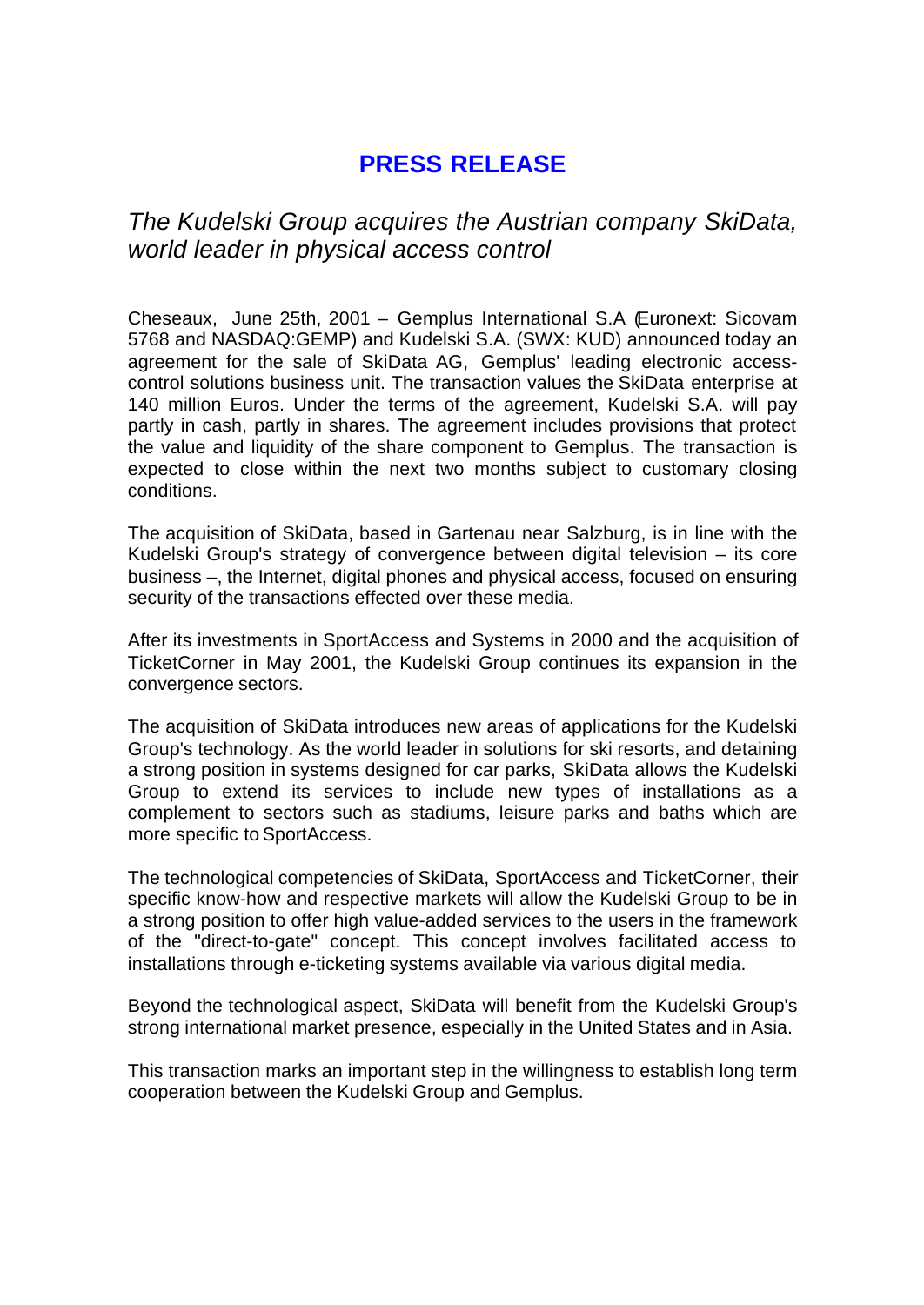## **PRESS RELEASE**

*The Kudelski Group acquires the Austrian company SkiData, world leader in physical access control*

Cheseaux, June 25th, 2001 – Gemplus International S.A (Euronext: Sicovam 5768 and NASDAQ:GEMP) and Kudelski S.A. (SWX: KUD) announced today an agreement for the sale of SkiData AG, Gemplus' leading electronic accesscontrol solutions business unit. The transaction values the SkiData enterprise at 140 million Euros. Under the terms of the agreement, Kudelski S.A. will pay partly in cash, partly in shares. The agreement includes provisions that protect the value and liquidity of the share component to Gemplus. The transaction is expected to close within the next two months subject to customary closing conditions.

The acquisition of SkiData, based in Gartenau near Salzburg, is in line with the Kudelski Group's strategy of convergence between digital television – its core business –, the Internet, digital phones and physical access, focused on ensuring security of the transactions effected over these media.

After its investments in SportAccess and Systems in 2000 and the acquisition of TicketCorner in May 2001, the Kudelski Group continues its expansion in the convergence sectors.

The acquisition of SkiData introduces new areas of applications for the Kudelski Group's technology. As the world leader in solutions for ski resorts, and detaining a strong position in systems designed for car parks, SkiData allows the Kudelski Group to extend its services to include new types of installations as a complement to sectors such as stadiums, leisure parks and baths which are more specific to SportAccess.

The technological competencies of SkiData, SportAccess and TicketCorner, their specific know-how and respective markets will allow the Kudelski Group to be in a strong position to offer high value-added services to the users in the framework of the "direct-to-gate" concept. This concept involves facilitated access to installations through e-ticketing systems available via various digital media.

Beyond the technological aspect, SkiData will benefit from the Kudelski Group's strong international market presence, especially in the United States and in Asia.

This transaction marks an important step in the willingness to establish long term cooperation between the Kudelski Group and Gemplus.